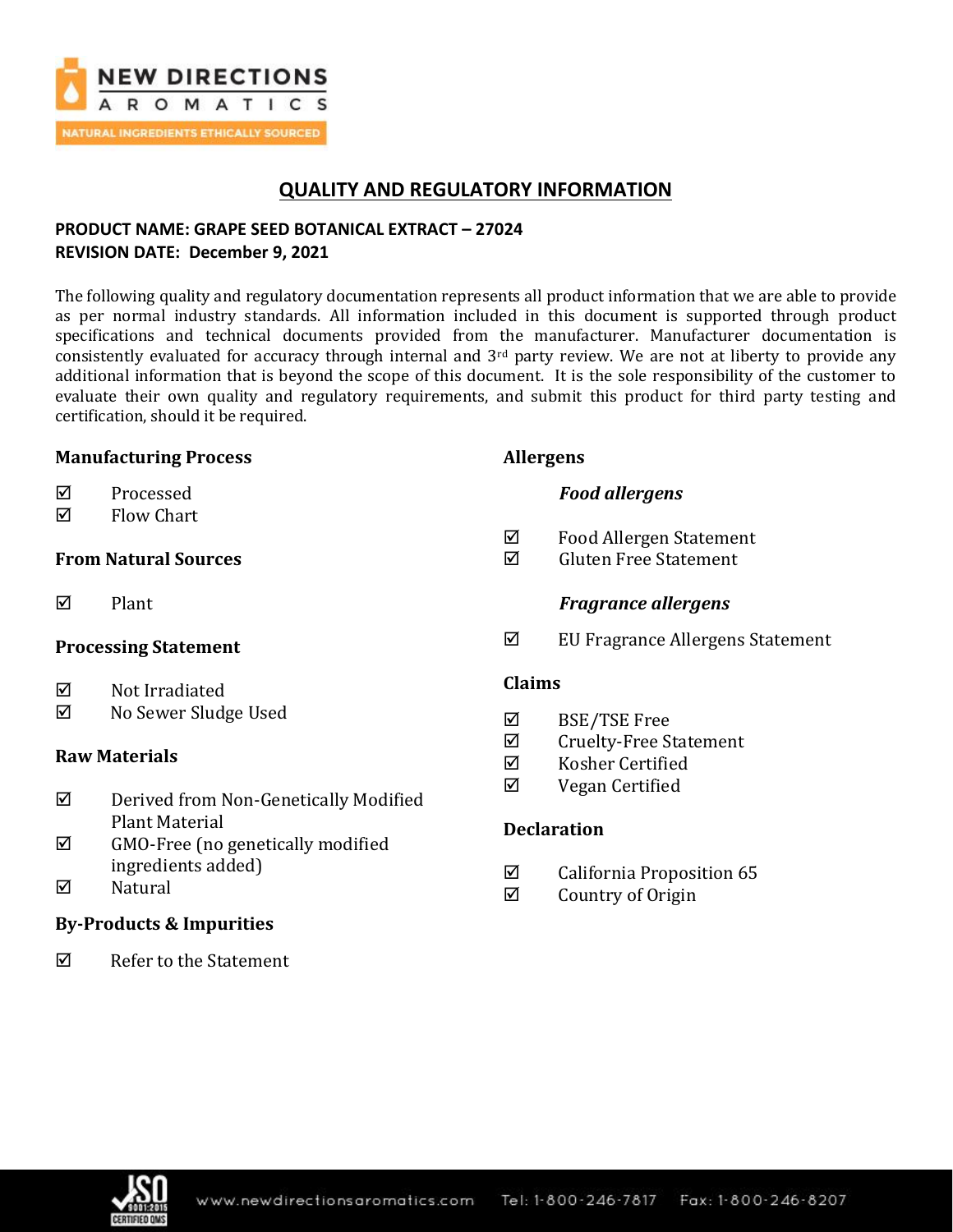

# **QUALITY AND REGULATORY INFORMATION**

### **PRODUCT NAME: GRAPE SEED BOTANICAL EXTRACT – 27024 REVISION DATE: December 9, 2021**

The following quality and regulatory documentation represents all product information that we are able to provide as per normal industry standards. All information included in this document is supported through product specifications and technical documents provided from the manufacturer. Manufacturer documentation is consistently evaluated for accuracy through internal and  $3<sup>rd</sup>$  party review. We are not at liberty to provide any additional information that is beyond the scope of this document. It is the sole responsibility of the customer to evaluate their own quality and regulatory requirements, and submit this product for third party testing and certification, should it be required.

#### **Manufacturing Process**

- **☑** Processed
- $\boxtimes$  Flow Chart

#### **From Natural Sources**

 $\nabla$  Plant

#### **Processing Statement**

- $\boxtimes$  Not Irradiated
- No Sewer Sludge Used

#### **Raw Materials**

- Derived from Non-Genetically Modified Plant Material
- $\boxtimes$  GMO-Free (no genetically modified ingredients added)
- $\nabla$  Natural

### **By-Products & Impurities**

 $\overline{M}$  Refer to the Statement

#### **Allergens**

- *Food allergens*
- $\boxtimes$  Food Allergen Statement
- Gluten Free Statement

#### *Fragrance allergens*

EU Fragrance Allergens Statement

#### **Claims**

- BSE/TSE Free
- $\boxtimes$  Cruelty-Free Statement
- $\nabla$  Kosher Certified
- $\boxtimes$  Vegan Certified

### **Declaration**

- $\boxtimes$  California Proposition 65
- $\boxtimes$  Country of Origin

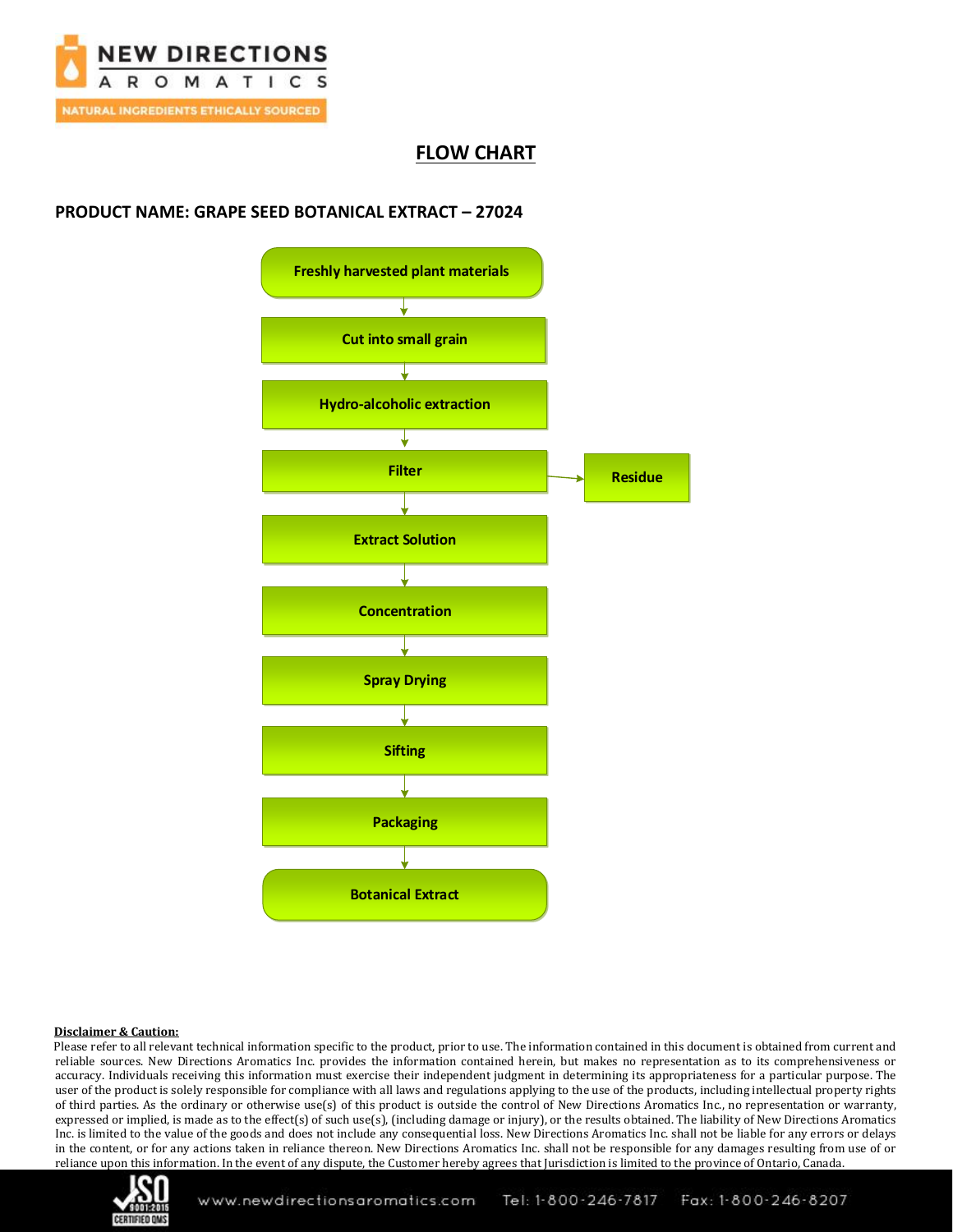

## **FLOW CHART**

### **PRODUCT NAME: GRAPE SEED BOTANICAL EXTRACT – 27024**



#### **Disclaimer & Caution:**

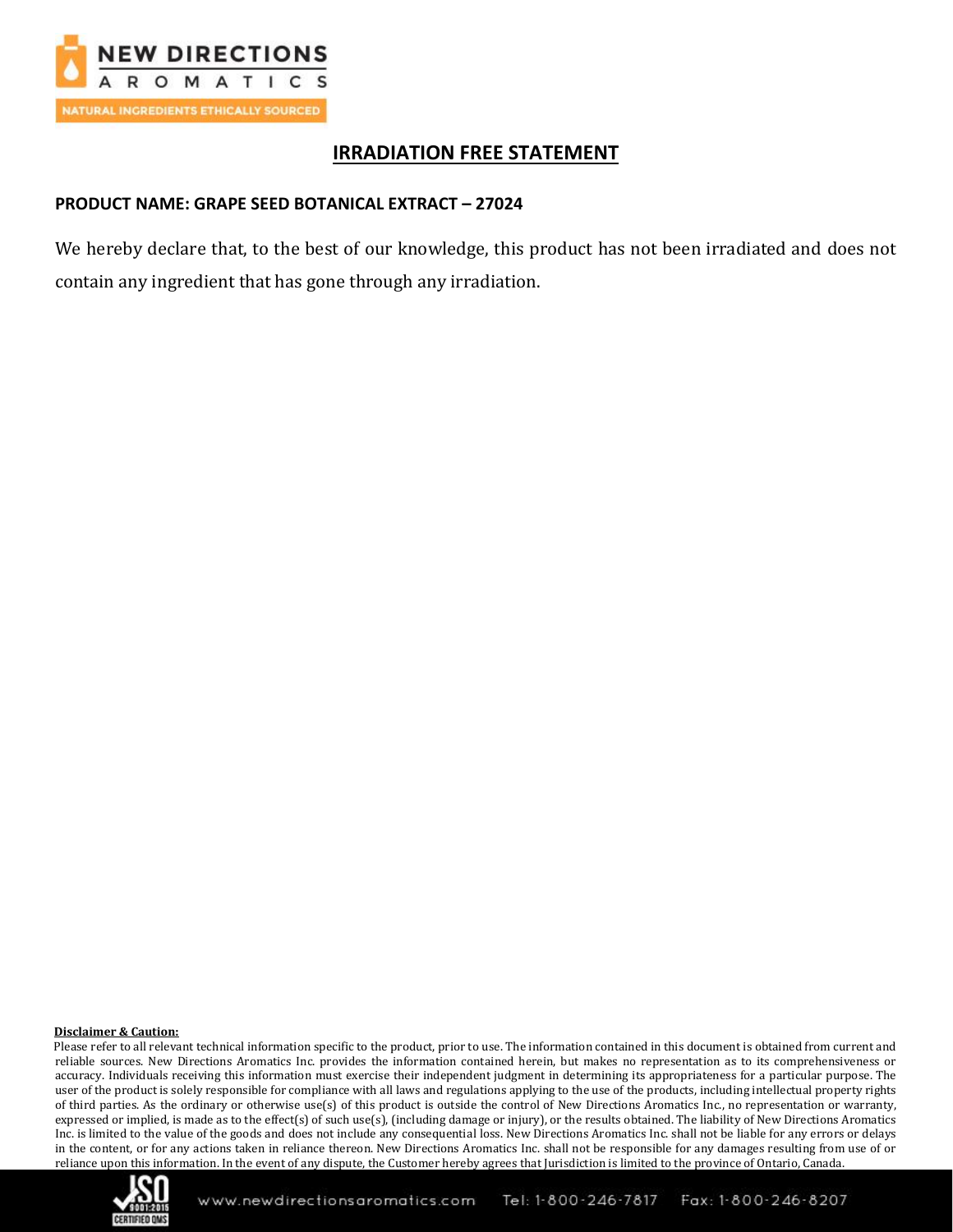

# **IRRADIATION FREE STATEMENT**

### **PRODUCT NAME: GRAPE SEED BOTANICAL EXTRACT – 27024**

We hereby declare that, to the best of our knowledge, this product has not been irradiated and does not contain any ingredient that has gone through any irradiation.

#### **Disclaimer & Caution:**

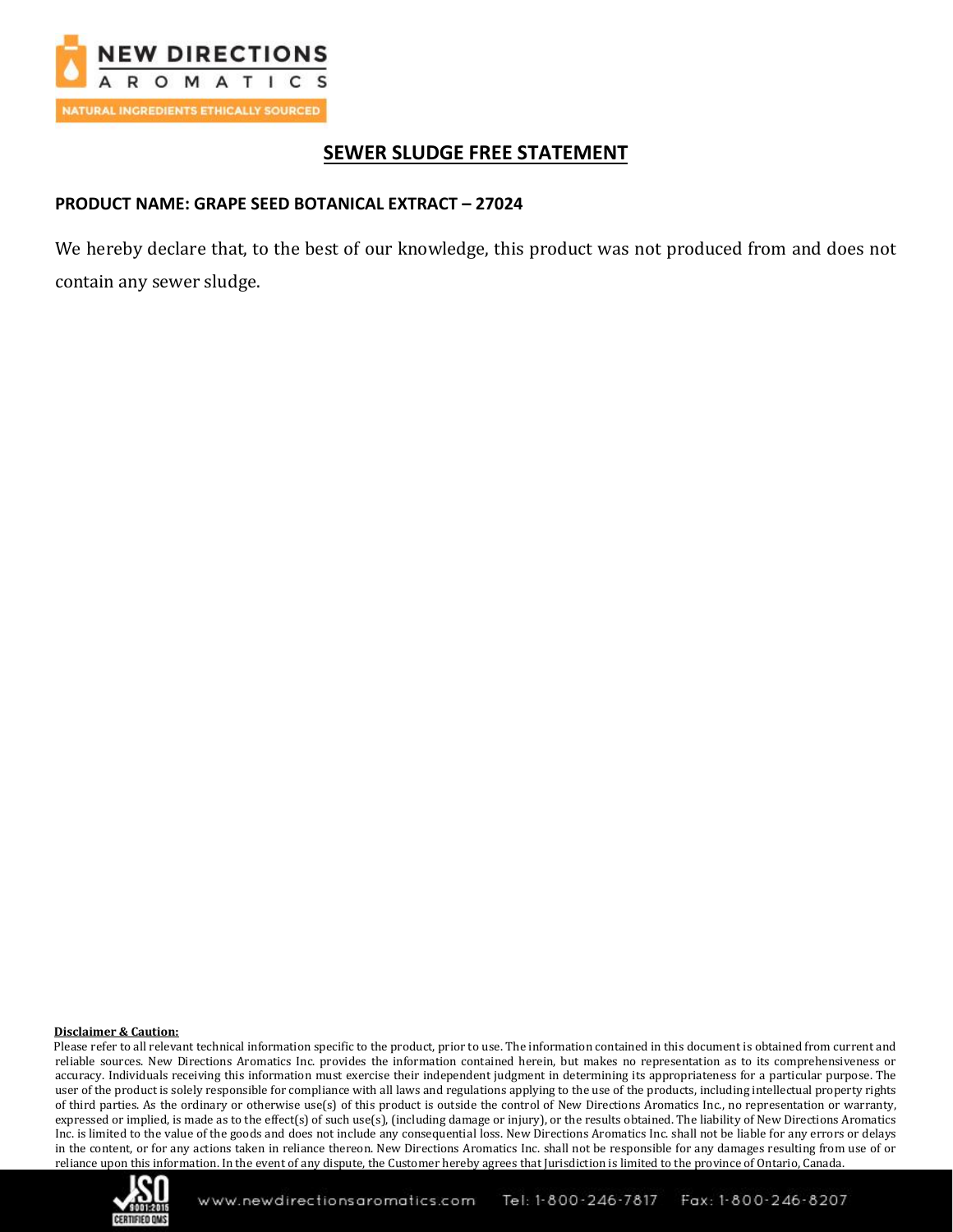

# **SEWER SLUDGE FREE STATEMENT**

### **PRODUCT NAME: GRAPE SEED BOTANICAL EXTRACT – 27024**

We hereby declare that, to the best of our knowledge, this product was not produced from and does not contain any sewer sludge.

#### **Disclaimer & Caution:**

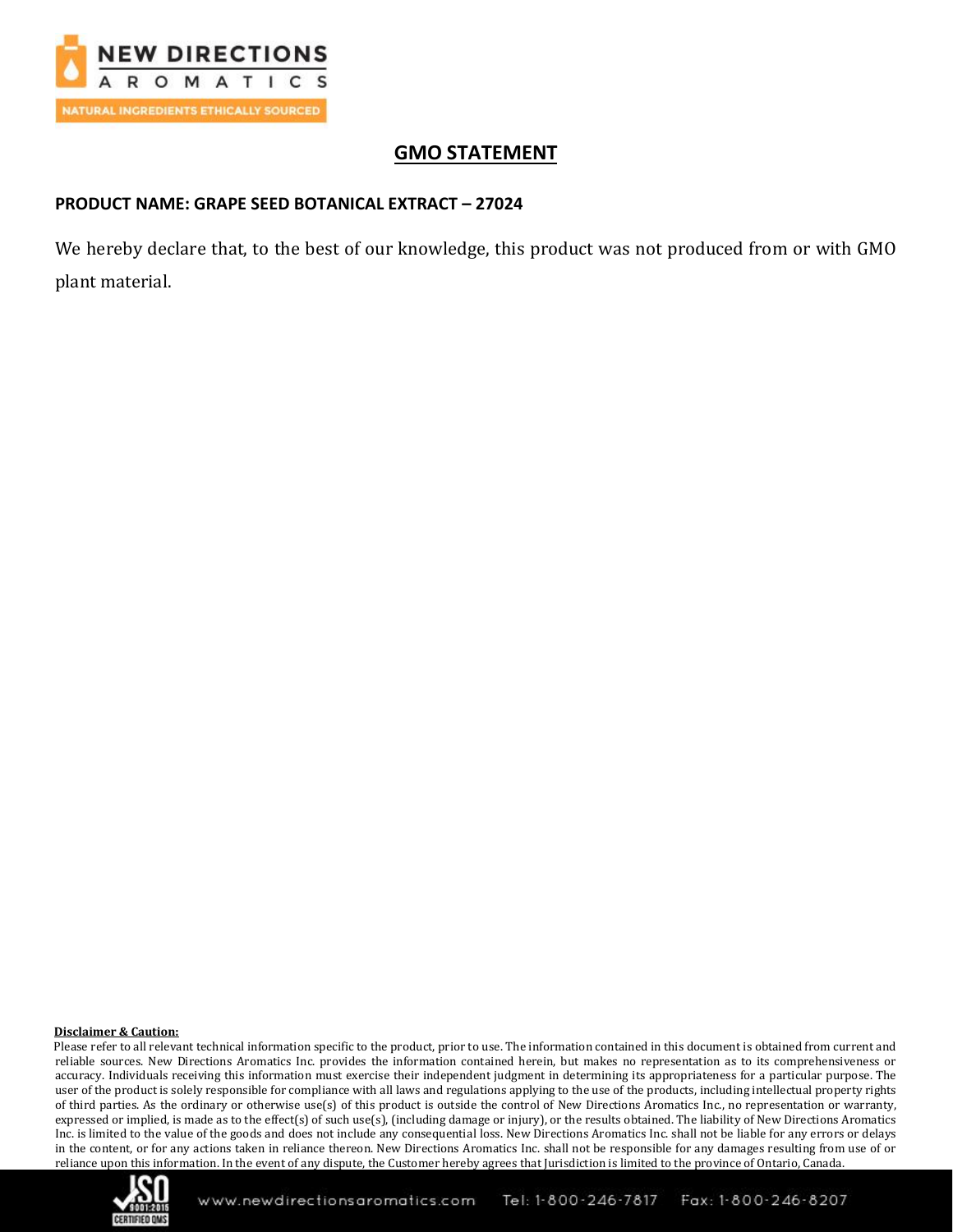

# **GMO STATEMENT**

### **PRODUCT NAME: GRAPE SEED BOTANICAL EXTRACT – 27024**

We hereby declare that, to the best of our knowledge, this product was not produced from or with GMO plant material.

#### **Disclaimer & Caution:**

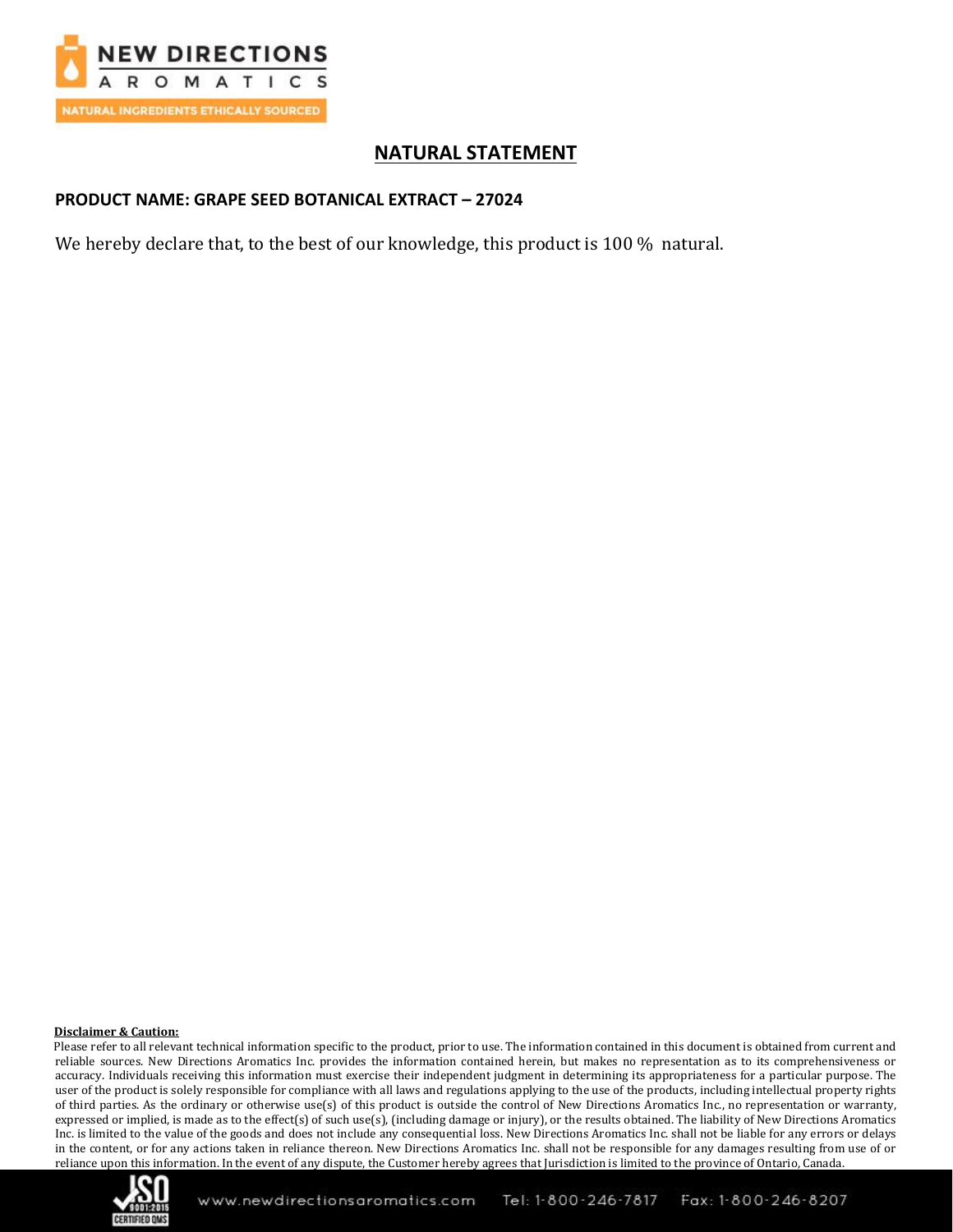

# **NATURAL STATEMENT**

#### **PRODUCT NAME: GRAPE SEED BOTANICAL EXTRACT – 27024**

We hereby declare that, to the best of our knowledge, this product is 100 % natural.

#### **Disclaimer & Caution:**

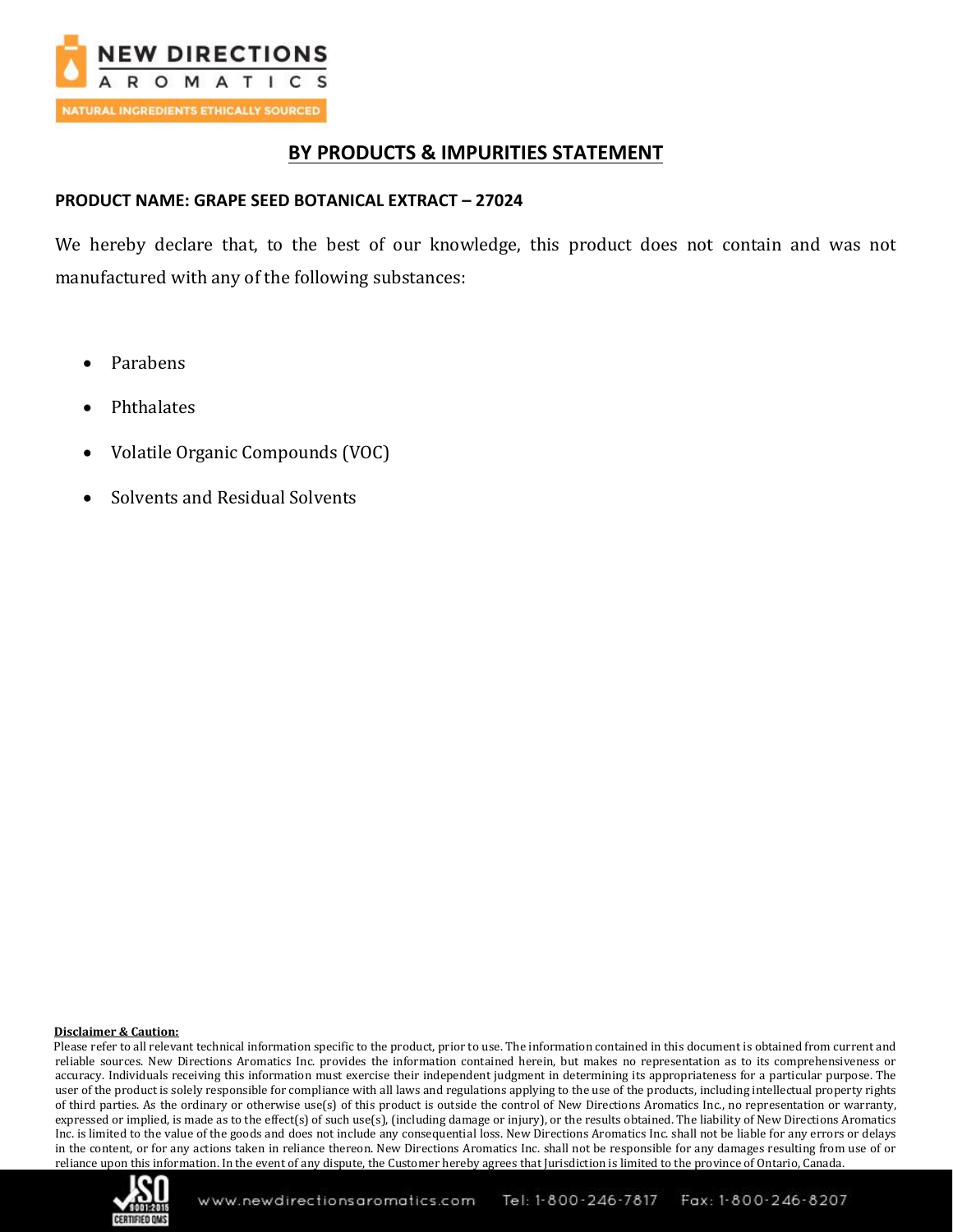

## **BY PRODUCTS & IMPURITIES STATEMENT**

### **PRODUCT NAME: GRAPE SEED BOTANICAL EXTRACT – 27024**

We hereby declare that, to the best of our knowledge, this product does not contain and was not manufactured with any of the following substances:

- Parabens
- **Phthalates**
- Volatile Organic Compounds (VOC)
- Solvents and Residual Solvents

#### **Disclaimer & Caution:**

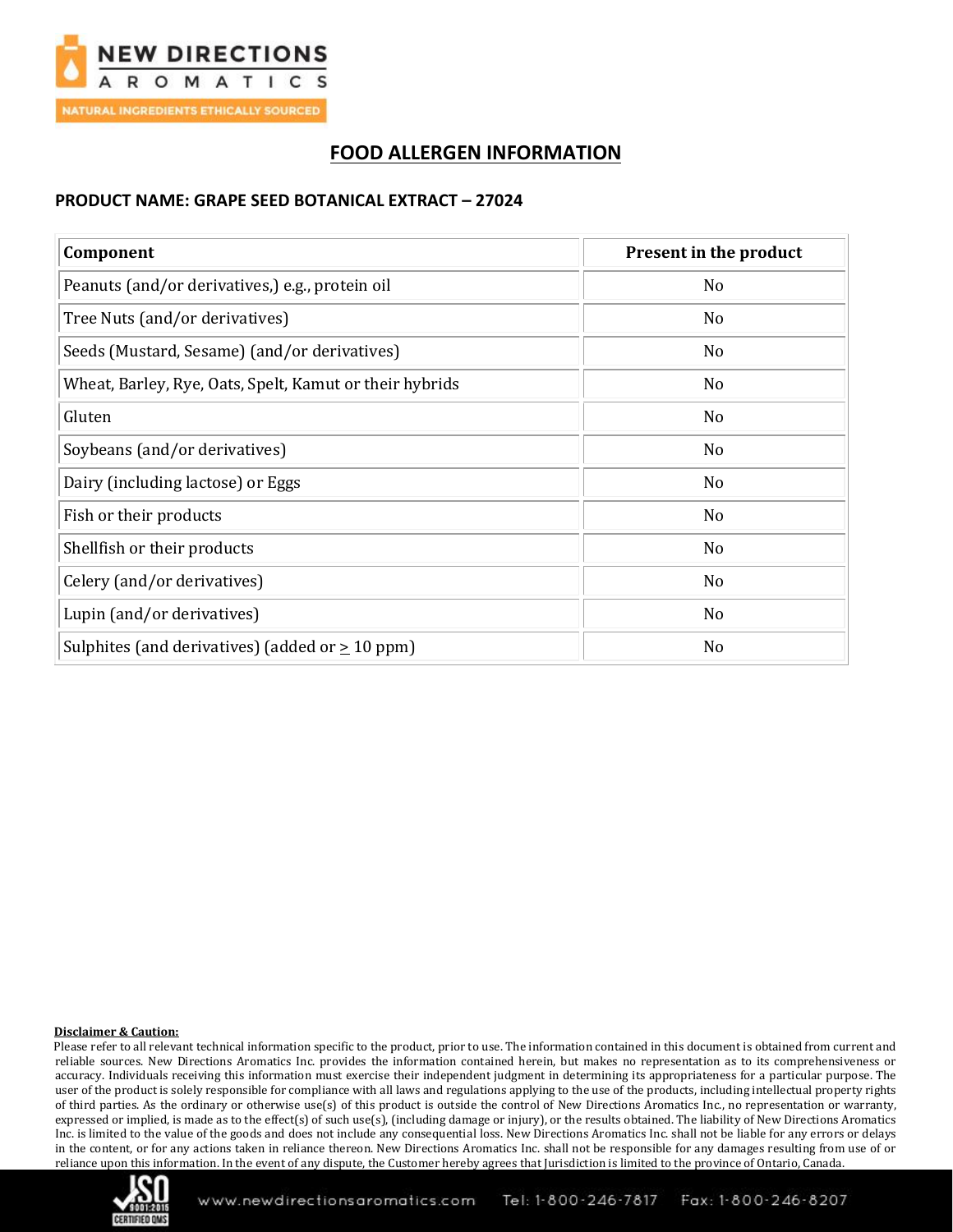

# **FOOD ALLERGEN INFORMATION**

### **PRODUCT NAME: GRAPE SEED BOTANICAL EXTRACT – 27024**

| Component                                               | <b>Present in the product</b> |
|---------------------------------------------------------|-------------------------------|
| Peanuts (and/or derivatives,) e.g., protein oil         | No                            |
| Tree Nuts (and/or derivatives)                          | N <sub>0</sub>                |
| Seeds (Mustard, Sesame) (and/or derivatives)            | N <sub>0</sub>                |
| Wheat, Barley, Rye, Oats, Spelt, Kamut or their hybrids | No                            |
| Gluten                                                  | N <sub>0</sub>                |
| Soybeans (and/or derivatives)                           | N <sub>o</sub>                |
| Dairy (including lactose) or Eggs                       | No                            |
| Fish or their products                                  | No                            |
| Shellfish or their products                             | No                            |
| Celery (and/or derivatives)                             | No                            |
| Lupin (and/or derivatives)                              | No                            |
| Sulphites (and derivatives) (added or $\geq 10$ ppm)    | No                            |

#### **Disclaimer & Caution:**

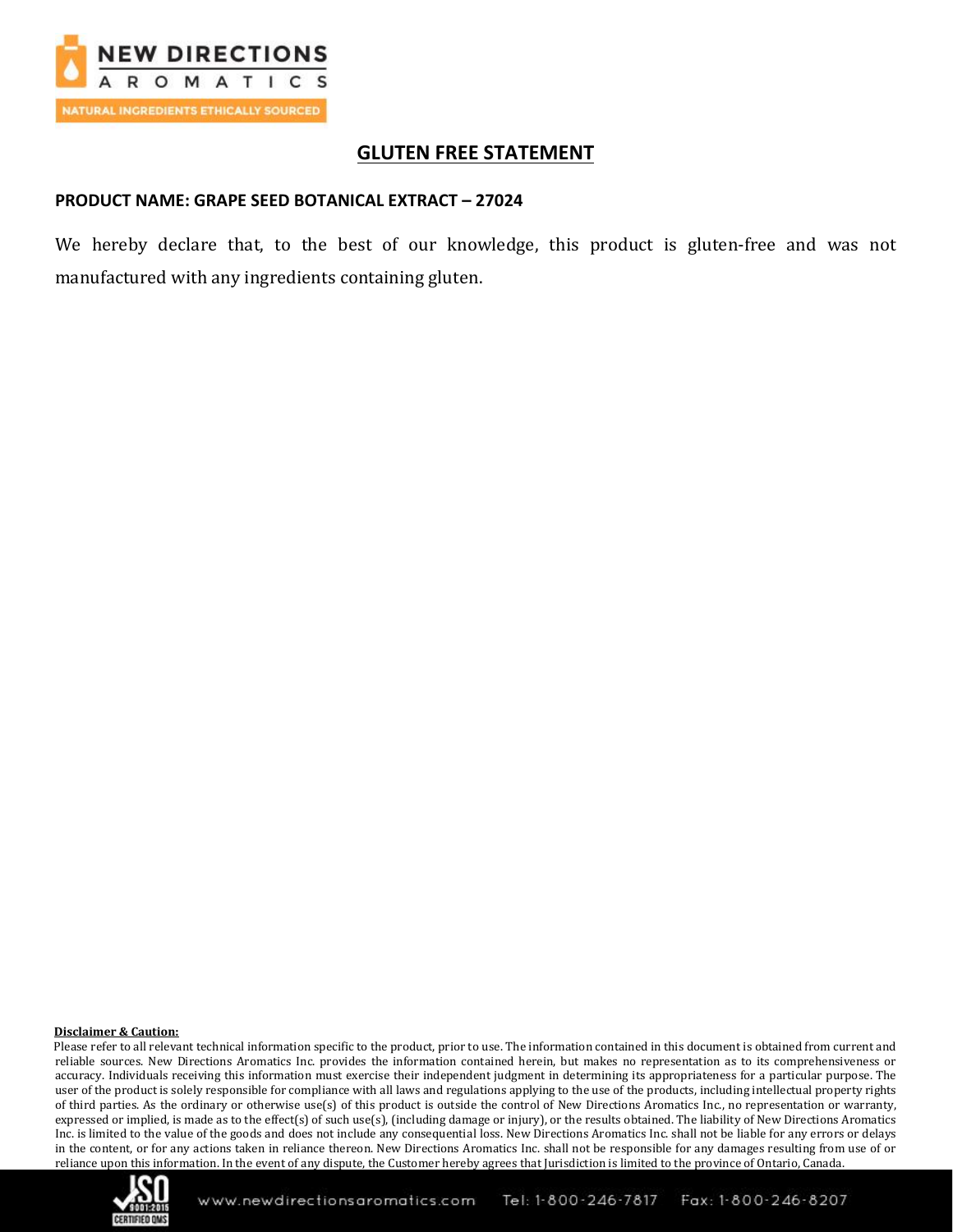

## **GLUTEN FREE STATEMENT**

#### **PRODUCT NAME: GRAPE SEED BOTANICAL EXTRACT – 27024**

We hereby declare that, to the best of our knowledge, this product is gluten-free and was not manufactured with any ingredients containing gluten.

#### **Disclaimer & Caution:**

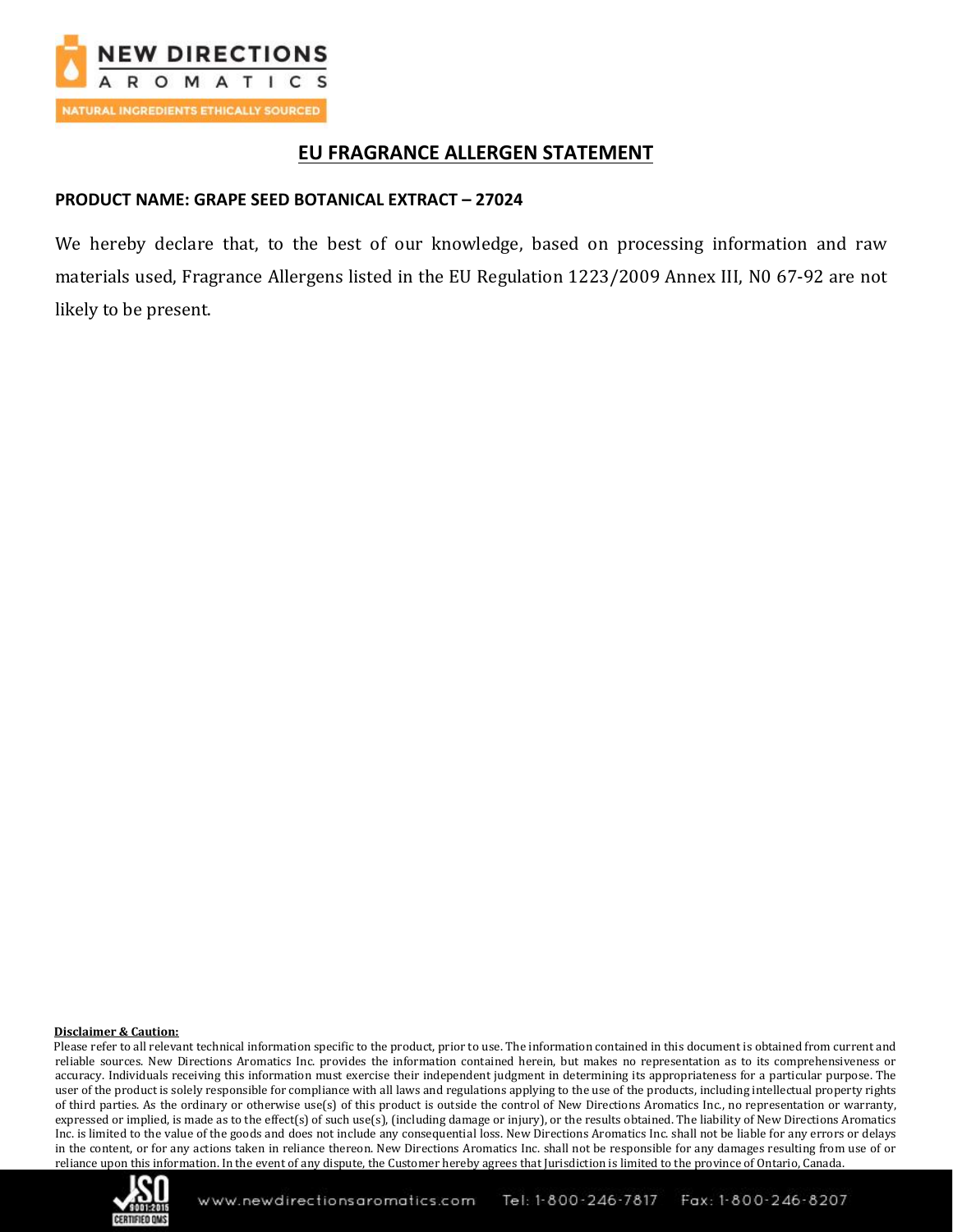

## **EU FRAGRANCE ALLERGEN STATEMENT**

### **PRODUCT NAME: GRAPE SEED BOTANICAL EXTRACT – 27024**

We hereby declare that, to the best of our knowledge, based on processing information and raw materials used, Fragrance Allergens listed in the EU Regulation 1223/2009 Annex III, N0 67-92 are not likely to be present.

#### **Disclaimer & Caution:**

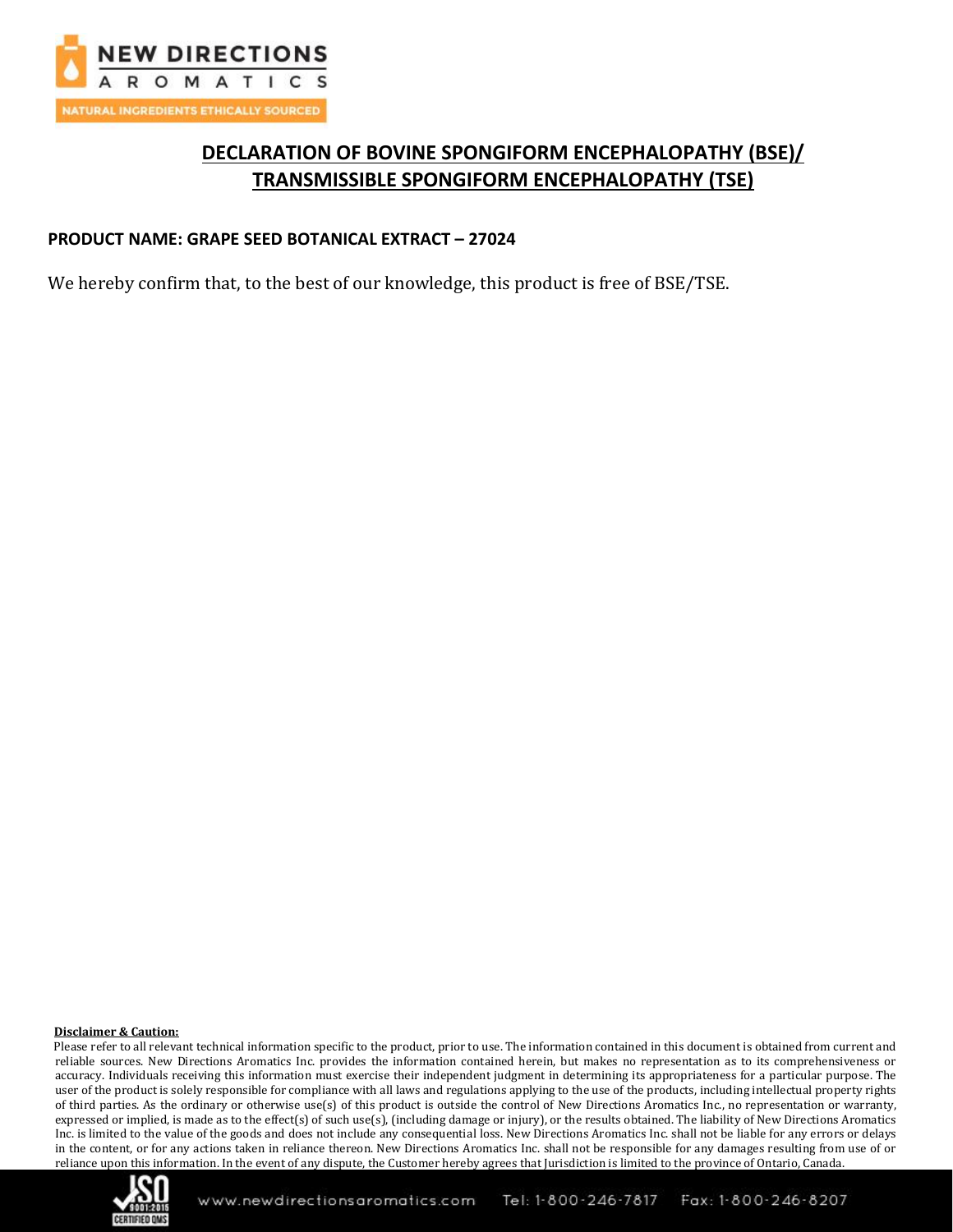

# **DECLARATION OF BOVINE SPONGIFORM ENCEPHALOPATHY (BSE)/ TRANSMISSIBLE SPONGIFORM ENCEPHALOPATHY (TSE)**

### **PRODUCT NAME: GRAPE SEED BOTANICAL EXTRACT – 27024**

We hereby confirm that, to the best of our knowledge, this product is free of BSE/TSE.

#### **Disclaimer & Caution:**

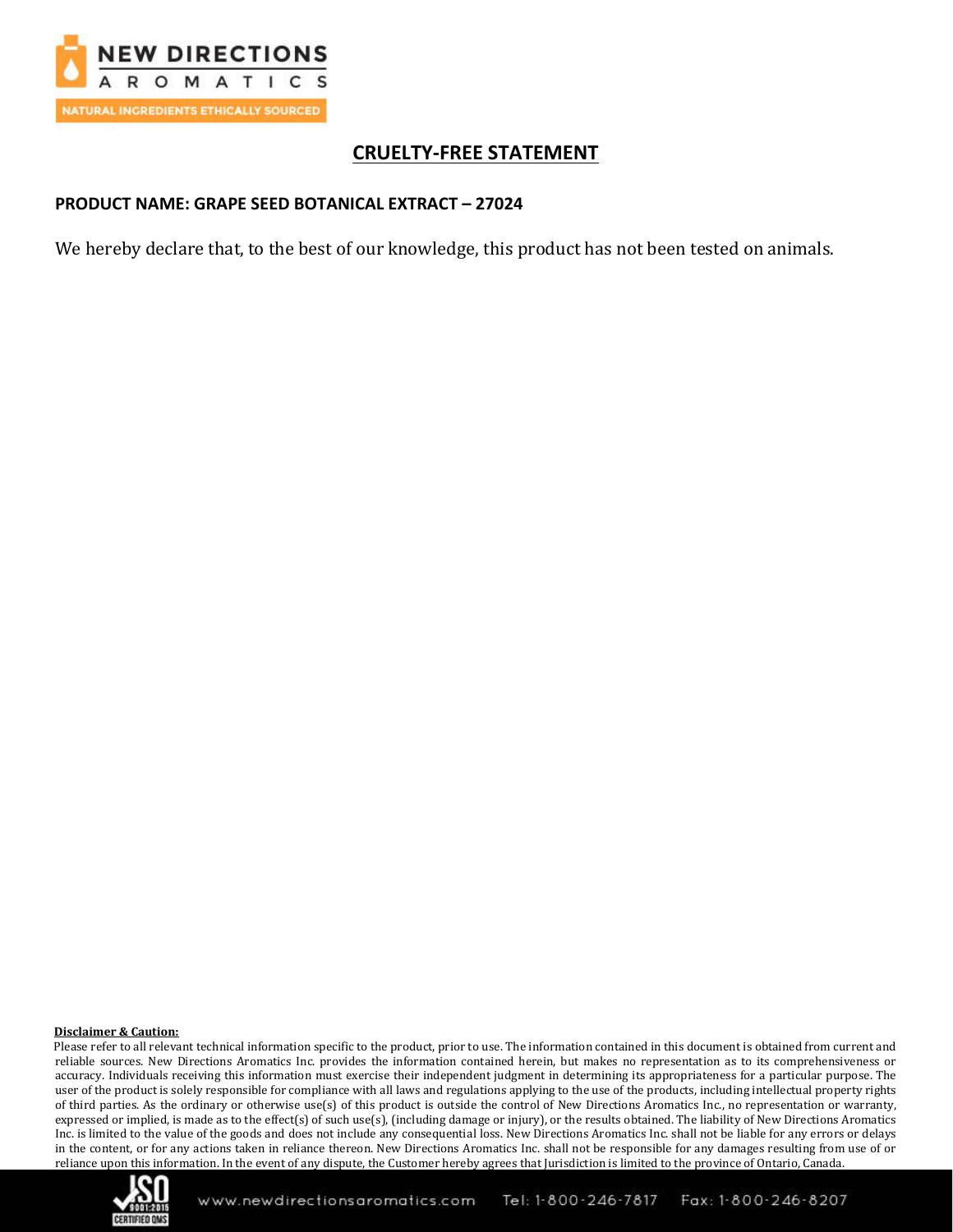

# **CRUELTY-FREE STATEMENT**

### **PRODUCT NAME: GRAPE SEED BOTANICAL EXTRACT – 27024**

We hereby declare that, to the best of our knowledge, this product has not been tested on animals.

#### **Disclaimer & Caution:**

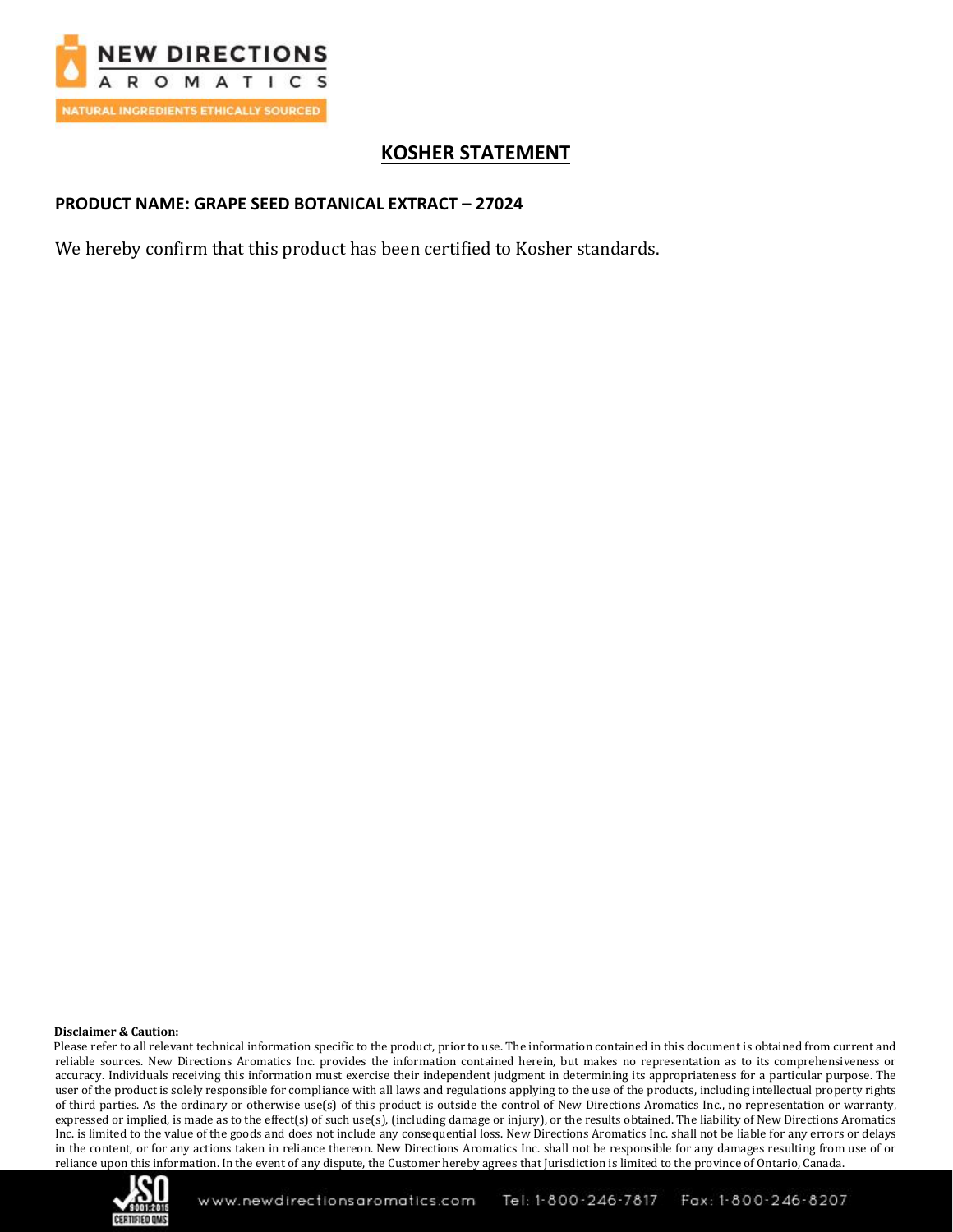

# **KOSHER STATEMENT**

### **PRODUCT NAME: GRAPE SEED BOTANICAL EXTRACT – 27024**

We hereby confirm that this product has been certified to Kosher standards.

#### **Disclaimer & Caution:**

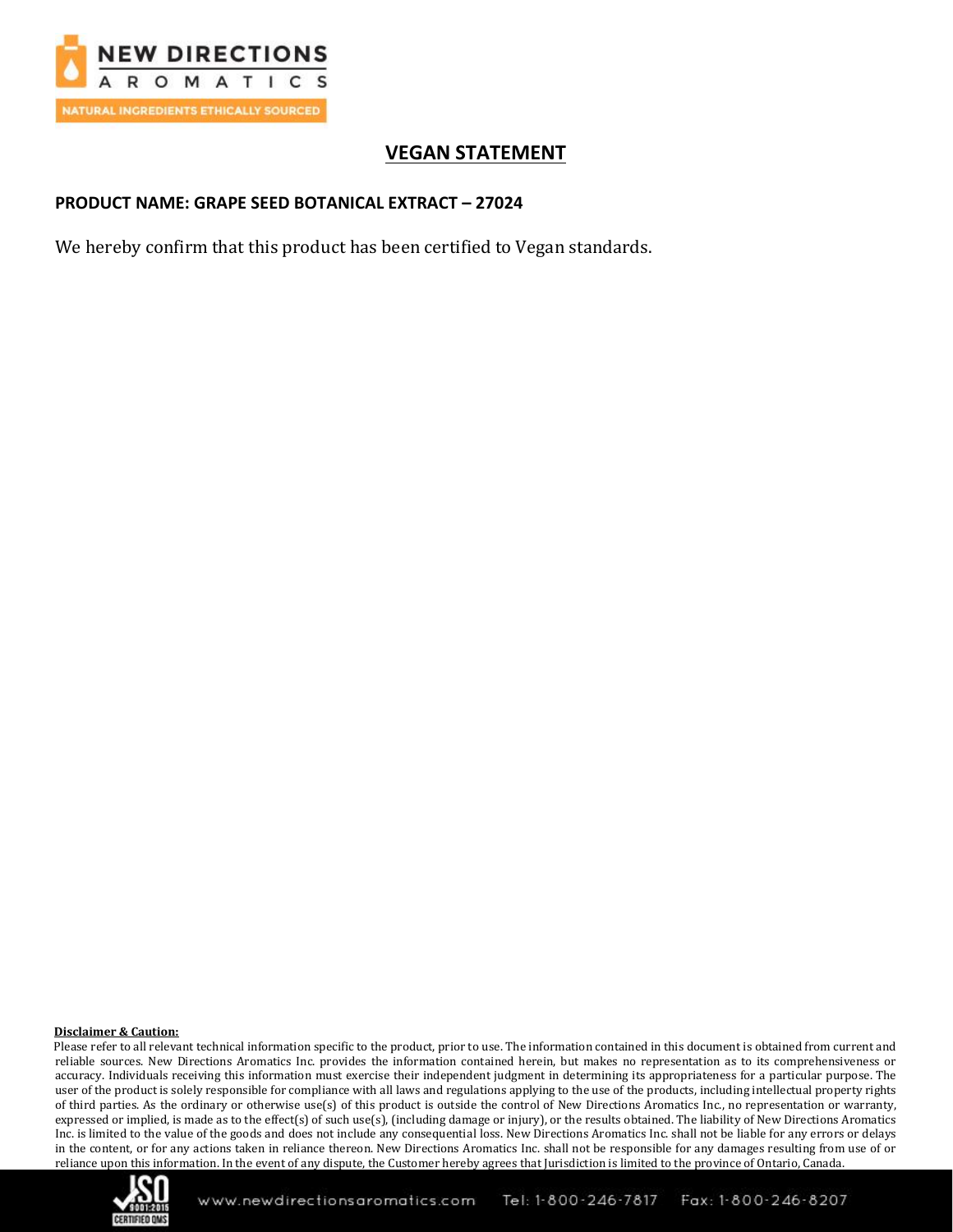

# **VEGAN STATEMENT**

### **PRODUCT NAME: GRAPE SEED BOTANICAL EXTRACT – 27024**

We hereby confirm that this product has been certified to Vegan standards.

#### **Disclaimer & Caution:**

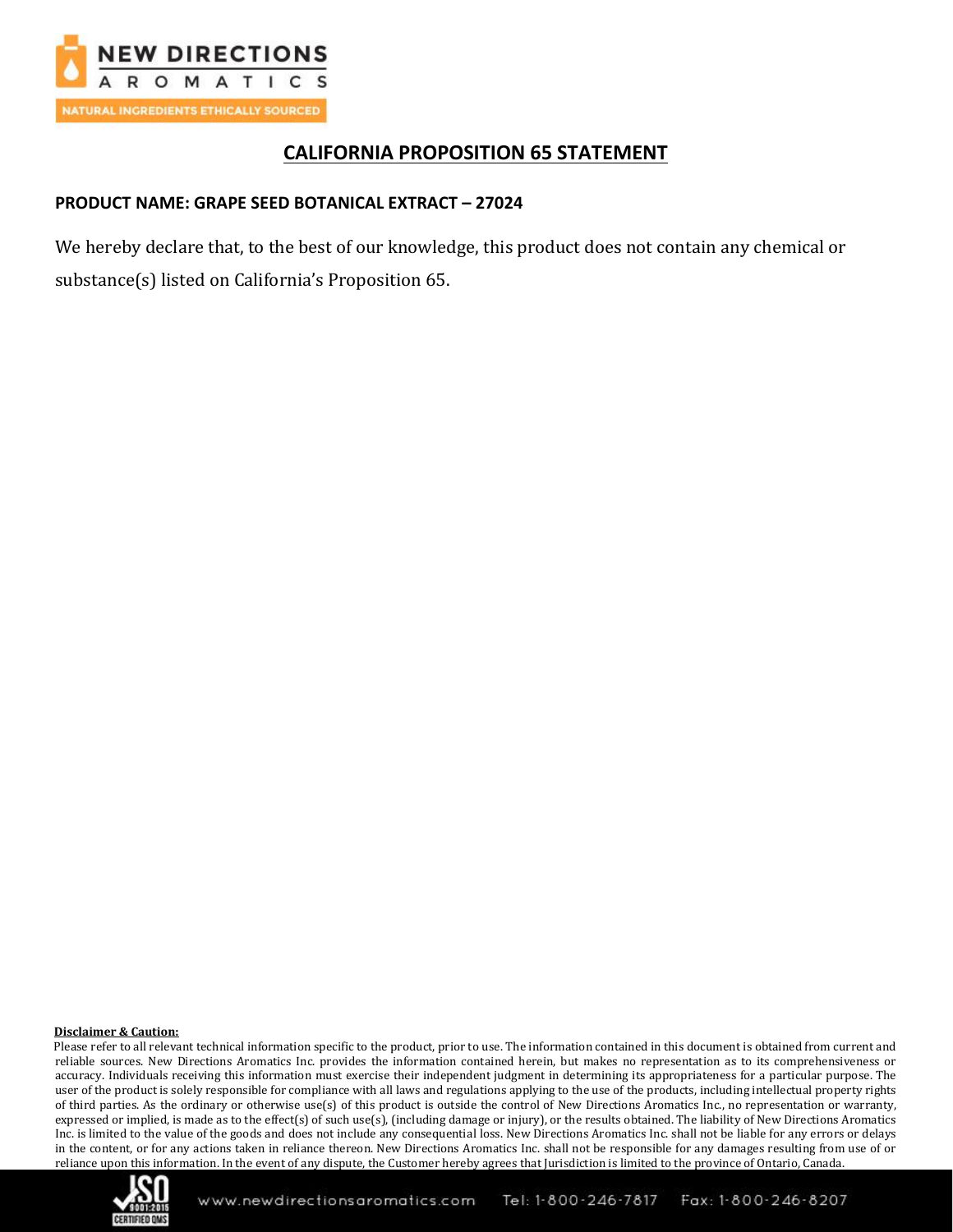

# **CALIFORNIA PROPOSITION 65 STATEMENT**

### **PRODUCT NAME: GRAPE SEED BOTANICAL EXTRACT – 27024**

We hereby declare that, to the best of our knowledge, this product does not contain any chemical or substance(s) listed on California's Proposition 65.

#### **Disclaimer & Caution:**